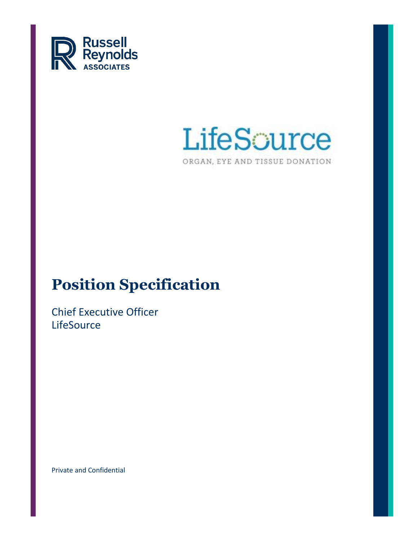



# **Position Specification**

Chief Executive Officer **LifeSource** 

Private and Confidential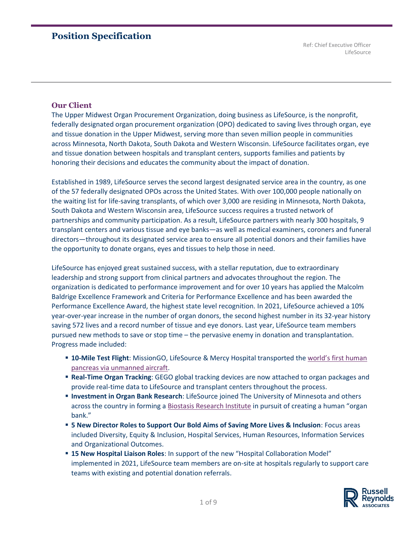## **Position Specification**

Ref: Chief Executive Officer LifeSource

#### **Our Client**

The Upper Midwest Organ Procurement Organization, doing business as LifeSource, is the nonprofit, federally designated organ procurement organization (OPO) dedicated to saving lives through organ, eye and tissue donation in the Upper Midwest, serving more than seven million people in communities across Minnesota, North Dakota, South Dakota and Western Wisconsin. LifeSource facilitates organ, eye and tissue donation between hospitals and transplant centers, supports families and patients by honoring their decisions and educates the community about the impact of donation.

Established in 1989, LifeSource serves the second largest designated service area in the country, as one of the 57 federally designated OPOs across the United States. With over 100,000 people nationally on the waiting list for life-saving transplants, of which over 3,000 are residing in Minnesota, North Dakota, South Dakota and Western Wisconsin area, LifeSource success requires a trusted network of partnerships and community participation. As a result, LifeSource partners with nearly 300 hospitals, 9 transplant centers and various tissue and eye banks—as well as medical examiners, coroners and funeral directors—throughout its designated service area to ensure all potential donors and their families have the opportunity to donate organs, eyes and tissues to help those in need.

LifeSource has enjoyed great sustained success, with a stellar reputation, due to extraordinary leadership and strong support from clinical partners and advocates throughout the region. The organization is dedicated to performance improvement and for over 10 years has applied the Malcolm Baldrige Excellence Framework and Criteria for Performance Excellence and has been awarded the Performance Excellence Award, the highest state level recognition. In 2021, LifeSource achieved a 10% year-over-year increase in the number of organ donors, the second highest number in its 32-year history saving 572 lives and a record number of tissue and eye donors. Last year, LifeSource team members pursued new methods to save or stop time – the pervasive enemy in donation and transplantation. Progress made included:

- $\blacksquare$  **10-Mile Test Flight**: MissionGO, LifeSource & Mercy Hospital transported the world's first human [pancreas via unmanned aircraft.](https://www.life-source.org/press/missiongo-minnesota-team-transports-worlds-first-human-pancreas-via-unmanned-aircraft/)
- **Real-Time Organ Tracking**: GEGO global tracking devices are now attached to organ packages and provide real-time data to LifeSource and transplant centers throughout the process.
- **Investment in Organ Bank Research**: LifeSource joined The University of Minnesota and others across the country in forming a [Biostasis Research Institute](https://www.life-source.org/press/lifesource-joins-biostasis-research-institute-to-initiate-human-organ-bank/) in pursuit of creating a human "organ bank."
- **5 New Director Roles to Support Our Bold Aims of Saving More Lives & Inclusion**: Focus areas included Diversity, Equity & Inclusion, Hospital Services, Human Resources, Information Services and Organizational Outcomes.
- **15 New Hospital Liaison Roles**: In support of the new "Hospital Collaboration Model" implemented in 2021, LifeSource team members are on-site at hospitals regularly to support care teams with existing and potential donation referrals.

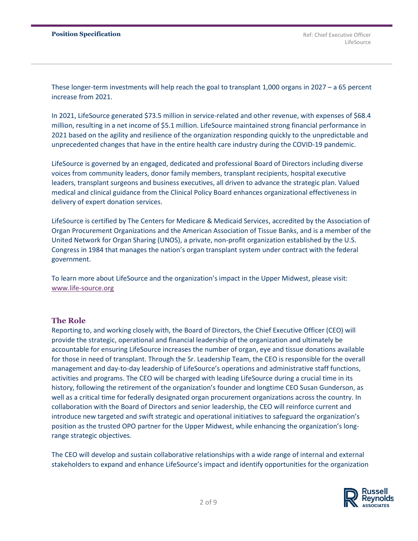These longer-term investments will help reach the goal to transplant 1,000 organs in 2027 – a 65 percent increase from 2021.

In 2021, LifeSource generated \$73.5 million in service-related and other revenue, with expenses of \$68.4 million, resulting in a net income of \$5.1 million. LifeSource maintained strong financial performance in 2021 based on the agility and resilience of the organization responding quickly to the unpredictable and unprecedented changes that have in the entire health care industry during the COVID-19 pandemic.

LifeSource is governed by an engaged, dedicated and professional Board of Directors including diverse voices from community leaders, donor family members, transplant recipients, hospital executive leaders, transplant surgeons and business executives, all driven to advance the strategic plan. Valued medical and clinical guidance from the Clinical Policy Board enhances organizational effectiveness in delivery of expert donation services.

LifeSource is certified by The Centers for Medicare & Medicaid Services, accredited by the Association of Organ Procurement Organizations and the American Association of Tissue Banks, and is a member of the United Network for Organ Sharing (UNOS), a private, non-profit organization established by the U.S. Congress in 1984 that manages the nation's organ transplant system under contract with the federal government.

To learn more about LifeSource and the organization's impact in the Upper Midwest, please visit: [www.life-source.org](http://www.life-source.org/)

#### **The Role**

Reporting to, and working closely with, the Board of Directors, the Chief Executive Officer (CEO) will provide the strategic, operational and financial leadership of the organization and ultimately be accountable for ensuring LifeSource increases the number of organ, eye and tissue donations available for those in need of transplant. Through the Sr. Leadership Team, the CEO is responsible for the overall management and day-to-day leadership of LifeSource's operations and administrative staff functions, activities and programs. The CEO will be charged with leading LifeSource during a crucial time in its history, following the retirement of the organization's founder and longtime CEO Susan Gunderson, as well as a critical time for federally designated organ procurement organizations across the country. In collaboration with the Board of Directors and senior leadership, the CEO will reinforce current and introduce new targeted and swift strategic and operational initiatives to safeguard the organization's position as the trusted OPO partner for the Upper Midwest, while enhancing the organization's longrange strategic objectives.

The CEO will develop and sustain collaborative relationships with a wide range of internal and external stakeholders to expand and enhance LifeSource's impact and identify opportunities for the organization

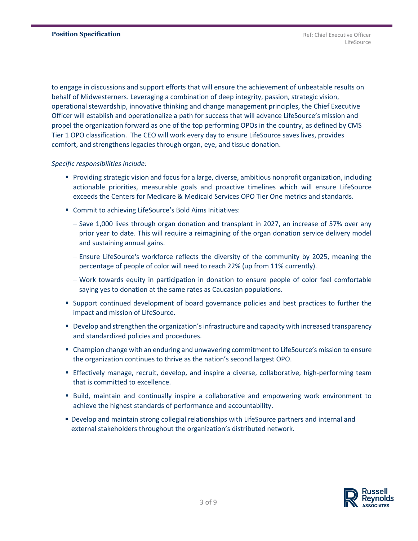to engage in discussions and support efforts that will ensure the achievement of unbeatable results on behalf of Midwesterners. Leveraging a combination of deep integrity, passion, strategic vision, operational stewardship, innovative thinking and change management principles, the Chief Executive Officer will establish and operationalize a path for success that will advance LifeSource's mission and propel the organization forward as one of the top performing OPOs in the country, as defined by CMS Tier 1 OPO classification. The CEO will work every day to ensure LifeSource saves lives, provides comfort, and strengthens legacies through organ, eye, and tissue donation.

#### *Specific responsibilities include:*

- Providing strategic vision and focus for a large, diverse, ambitious nonprofit organization, including actionable priorities, measurable goals and proactive timelines which will ensure LifeSource exceeds the Centers for Medicare & Medicaid Services OPO Tier One metrics and standards.
- Commit to achieving LifeSource's Bold Aims Initiatives:
	- − Save 1,000 lives through organ donation and transplant in 2027, an increase of 57% over any prior year to date. This will require a reimagining of the organ donation service delivery model and sustaining annual gains.
	- − Ensure LifeSource's workforce reflects the diversity of the community by 2025, meaning the percentage of people of color will need to reach 22% (up from 11% currently).
	- − Work towards equity in participation in donation to ensure people of color feel comfortable saying yes to donation at the same rates as Caucasian populations.
- **EX Support continued development of board governance policies and best practices to further the** impact and mission of LifeSource.
- Develop and strengthen the organization's infrastructure and capacity with increased transparency and standardized policies and procedures.
- Champion change with an enduring and unwavering commitment to LifeSource's mission to ensure the organization continues to thrive as the nation's second largest OPO.
- **E** Effectively manage, recruit, develop, and inspire a diverse, collaborative, high-performing team that is committed to excellence.
- Build, maintain and continually inspire a collaborative and empowering work environment to achieve the highest standards of performance and accountability.
- **Develop and maintain strong collegial relationships with LifeSource partners and internal and** external stakeholders throughout the organization's distributed network.

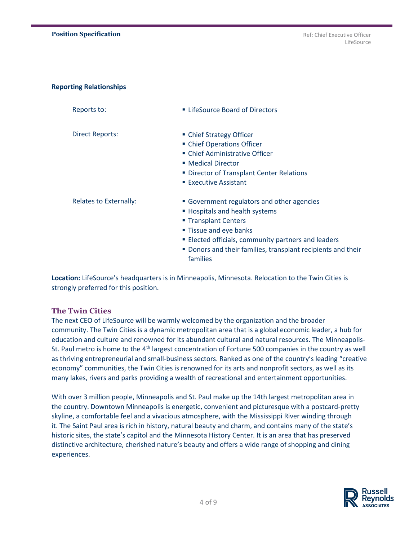#### **Reporting Relationships**

| Reports to:                   | LifeSource Board of Directors                                            |
|-------------------------------|--------------------------------------------------------------------------|
| <b>Direct Reports:</b>        | • Chief Strategy Officer                                                 |
|                               | • Chief Operations Officer                                               |
|                               | ■ Chief Administrative Officer                                           |
|                               | ■ Medical Director                                                       |
|                               | • Director of Transplant Center Relations                                |
|                               | ■ Executive Assistant                                                    |
| <b>Relates to Externally:</b> | • Government regulators and other agencies                               |
|                               | ■ Hospitals and health systems                                           |
|                               | ■ Transplant Centers                                                     |
|                               | " Tissue and eye banks                                                   |
|                               | ■ Elected officials, community partners and leaders                      |
|                               | • Donors and their families, transplant recipients and their<br>families |

**Location:** LifeSource's headquarters is in Minneapolis, Minnesota. Relocation to the Twin Cities is strongly preferred for this position.

## **The Twin Cities**

The next CEO of LifeSource will be warmly welcomed by the organization and the broader community. The Twin Cities is a dynamic metropolitan area that is a global economic leader, a hub for education and culture and renowned for its abundant cultural and natural resources. The Minneapolis-St. Paul metro is home to the  $4<sup>th</sup>$  largest concentration of Fortune 500 companies in the country as well as thriving entrepreneurial and small-business sectors. Ranked as one of the country's leading "creative economy" communities, the Twin Cities is renowned for its arts and nonprofit sectors, as well as its many lakes, rivers and parks providing a wealth of recreational and entertainment opportunities.

With over 3 million people, Minneapolis and St. Paul make up the 14th largest metropolitan area in the country. Downtown Minneapolis is energetic, convenient and picturesque with a postcard-pretty skyline, a comfortable feel and a vivacious atmosphere, with the Mississippi River winding through it. The Saint Paul area is rich in history, natural beauty and charm, and contains many of the state's historic sites, the state's capitol and the Minnesota History Center. It is an area that has preserved distinctive architecture, cherished nature's beauty and offers a wide range of shopping and dining experiences.

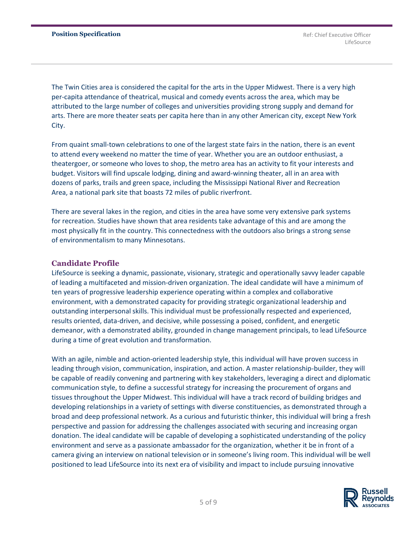The Twin Cities area is considered the capital for the arts in the Upper Midwest. There is a very high per-capita attendance of theatrical, musical and comedy events across the area, which may be attributed to the large number of colleges and universities providing strong supply and demand for arts. There are more theater seats per capita here than in any other American city, except New York City.

From quaint small-town celebrations to one of the largest state fairs in the nation, there is an event to attend every weekend no matter the time of year. Whether you are an outdoor enthusiast, a theatergoer, or someone who loves to shop, the metro area has an activity to fit your interests and budget. Visitors will find upscale lodging, dining and award-winning theater, all in an area with dozens of parks, trails and green space, including the Mississippi National River and Recreation Area, a national park site that boasts 72 miles of public riverfront.

There are several lakes in the region, and cities in the area have some very extensive park systems for recreation. Studies have shown that area residents take advantage of this and are among the most physically fit in the country. This connectedness with the outdoors also brings a strong sense of environmentalism to many Minnesotans.

#### **Candidate Profile**

LifeSource is seeking a dynamic, passionate, visionary, strategic and operationally savvy leader capable of leading a multifaceted and mission-driven organization. The ideal candidate will have a minimum of ten years of progressive leadership experience operating within a complex and collaborative environment, with a demonstrated capacity for providing strategic organizational leadership and outstanding interpersonal skills. This individual must be professionally respected and experienced, results oriented, data-driven, and decisive, while possessing a poised, confident, and energetic demeanor, with a demonstrated ability, grounded in change management principals, to lead LifeSource during a time of great evolution and transformation.

With an agile, nimble and action-oriented leadership style, this individual will have proven success in leading through vision, communication, inspiration, and action. A master relationship-builder, they will be capable of readily convening and partnering with key stakeholders, leveraging a direct and diplomatic communication style, to define a successful strategy for increasing the procurement of organs and tissues throughout the Upper Midwest. This individual will have a track record of building bridges and developing relationships in a variety of settings with diverse constituencies, as demonstrated through a broad and deep professional network. As a curious and futuristic thinker, this individual will bring a fresh perspective and passion for addressing the challenges associated with securing and increasing organ donation. The ideal candidate will be capable of developing a sophisticated understanding of the policy environment and serve as a passionate ambassador for the organization, whether it be in front of a camera giving an interview on national television or in someone's living room. This individual will be well positioned to lead LifeSource into its next era of visibility and impact to include pursuing innovative

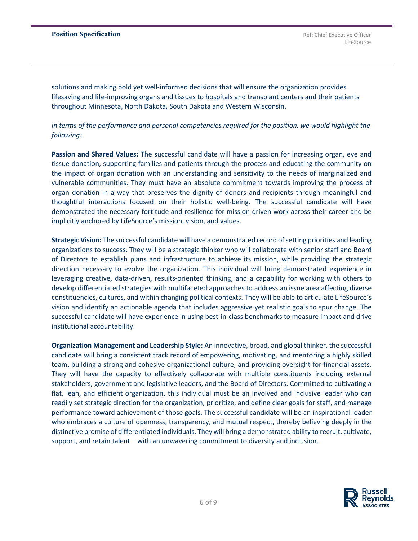solutions and making bold yet well-informed decisions that will ensure the organization provides lifesaving and life-improving organs and tissues to hospitals and transplant centers and their patients throughout Minnesota, North Dakota, South Dakota and Western Wisconsin.

*In terms of the performance and personal competencies required for the position, we would highlight the following:*

**Passion and Shared Values:** The successful candidate will have a passion for increasing organ, eye and tissue donation, supporting families and patients through the process and educating the community on the impact of organ donation with an understanding and sensitivity to the needs of marginalized and vulnerable communities. They must have an absolute commitment towards improving the process of organ donation in a way that preserves the dignity of donors and recipients through meaningful and thoughtful interactions focused on their holistic well-being. The successful candidate will have demonstrated the necessary fortitude and resilience for mission driven work across their career and be implicitly anchored by LifeSource's mission, vision, and values.

**Strategic Vision:** The successful candidate will have a demonstrated record of setting priorities and leading organizations to success. They will be a strategic thinker who will collaborate with senior staff and Board of Directors to establish plans and infrastructure to achieve its mission, while providing the strategic direction necessary to evolve the organization. This individual will bring demonstrated experience in leveraging creative, data-driven, results-oriented thinking, and a capability for working with others to develop differentiated strategies with multifaceted approaches to address an issue area affecting diverse constituencies, cultures, and within changing political contexts. They will be able to articulate LifeSource's vision and identify an actionable agenda that includes aggressive yet realistic goals to spur change. The successful candidate will have experience in using best-in-class benchmarks to measure impact and drive institutional accountability.

**Organization Management and Leadership Style:** An innovative, broad, and global thinker, the successful candidate will bring a consistent track record of empowering, motivating, and mentoring a highly skilled team, building a strong and cohesive organizational culture, and providing oversight for financial assets. They will have the capacity to effectively collaborate with multiple constituents including external stakeholders, government and legislative leaders, and the Board of Directors. Committed to cultivating a flat, lean, and efficient organization, this individual must be an involved and inclusive leader who can readily set strategic direction for the organization, prioritize, and define clear goals for staff, and manage performance toward achievement of those goals. The successful candidate will be an inspirational leader who embraces a culture of openness, transparency, and mutual respect, thereby believing deeply in the distinctive promise of differentiated individuals. They will bring a demonstrated ability to recruit, cultivate, support, and retain talent – with an unwavering commitment to diversity and inclusion.

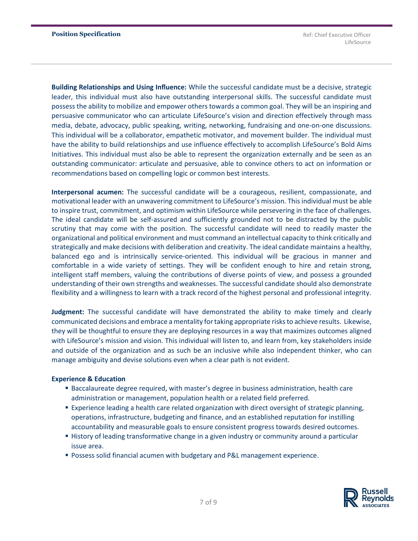**Building Relationships and Using Influence:** While the successful candidate must be a decisive, strategic leader, this individual must also have outstanding interpersonal skills. The successful candidate must possess the ability to mobilize and empower others towards a common goal. They will be an inspiring and persuasive communicator who can articulate LifeSource's vision and direction effectively through mass media, debate, advocacy, public speaking, writing, networking, fundraising and one-on-one discussions. This individual will be a collaborator, empathetic motivator, and movement builder. The individual must have the ability to build relationships and use influence effectively to accomplish LifeSource's Bold Aims Initiatives. This individual must also be able to represent the organization externally and be seen as an outstanding communicator: articulate and persuasive, able to convince others to act on information or recommendations based on compelling logic or common best interests.

**Interpersonal acumen:** The successful candidate will be a courageous, resilient, compassionate, and motivational leader with an unwavering commitment to LifeSource's mission. This individual must be able to inspire trust, commitment, and optimism within LifeSource while persevering in the face of challenges. The ideal candidate will be self-assured and sufficiently grounded not to be distracted by the public scrutiny that may come with the position. The successful candidate will need to readily master the organizational and political environment and must command an intellectual capacity to think critically and strategically and make decisions with deliberation and creativity. The ideal candidate maintains a healthy, balanced ego and is intrinsically service-oriented. This individual will be gracious in manner and comfortable in a wide variety of settings. They will be confident enough to hire and retain strong, intelligent staff members, valuing the contributions of diverse points of view, and possess a grounded understanding of their own strengths and weaknesses. The successful candidate should also demonstrate flexibility and a willingness to learn with a track record of the highest personal and professional integrity.

**Judgment:** The successful candidate will have demonstrated the ability to make timely and clearly communicated decisions and embrace a mentality for taking appropriate risks to achieve results. Likewise, they will be thoughtful to ensure they are deploying resources in a way that maximizes outcomes aligned with LifeSource's mission and vision. This individual will listen to, and learn from, key stakeholders inside and outside of the organization and as such be an inclusive while also independent thinker, who can manage ambiguity and devise solutions even when a clear path is not evident.

#### **Experience & Education**

- **E** Baccalaureate degree required, with master's degree in business administration, health care administration or management, population health or a related field preferred.
- **Experience leading a health care related organization with direct oversight of strategic planning,** operations, infrastructure, budgeting and finance, and an established reputation for instilling accountability and measurable goals to ensure consistent progress towards desired outcomes.
- **EXTHISTORY INTER 1** History of leading transformative change in a given industry or community around a particular issue area.
- Possess solid financial acumen with budgetary and P&L management experience.

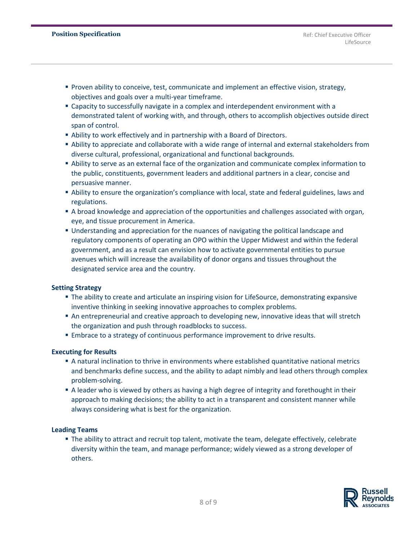- **Proven ability to conceive, test, communicate and implement an effective vision, strategy,** objectives and goals over a multi-year timeframe.
- Capacity to successfully navigate in a complex and interdependent environment with a demonstrated talent of working with, and through, others to accomplish objectives outside direct span of control.
- Ability to work effectively and in partnership with a Board of Directors.
- **Ability to appreciate and collaborate with a wide range of internal and external stakeholders from** diverse cultural, professional, organizational and functional backgrounds.
- Ability to serve as an external face of the organization and communicate complex information to the public, constituents, government leaders and additional partners in a clear, concise and persuasive manner.
- **•** Ability to ensure the organization's compliance with local, state and federal guidelines, laws and regulations.
- **A broad knowledge and appreciation of the opportunities and challenges associated with organ,** eye, and tissue procurement in America.
- **Understanding and appreciation for the nuances of navigating the political landscape and** regulatory components of operating an OPO within the Upper Midwest and within the federal government, and as a result can envision how to activate governmental entities to pursue avenues which will increase the availability of donor organs and tissues throughout the designated service area and the country.

## **Setting Strategy**

- **The ability to create and articulate an inspiring vision for LifeSource, demonstrating expansive** inventive thinking in seeking innovative approaches to complex problems.
- **An entrepreneurial and creative approach to developing new, innovative ideas that will stretch** the organization and push through roadblocks to success.
- **Embrace to a strategy of continuous performance improvement to drive results.**

#### **Executing for Results**

- A natural inclination to thrive in environments where established quantitative national metrics and benchmarks define success, and the ability to adapt nimbly and lead others through complex problem-solving.
- **Example 1** A leader who is viewed by others as having a high degree of integrity and forethought in their approach to making decisions; the ability to act in a transparent and consistent manner while always considering what is best for the organization.

#### **Leading Teams**

**The ability to attract and recruit top talent, motivate the team, delegate effectively, celebrate** diversity within the team, and manage performance; widely viewed as a strong developer of others.